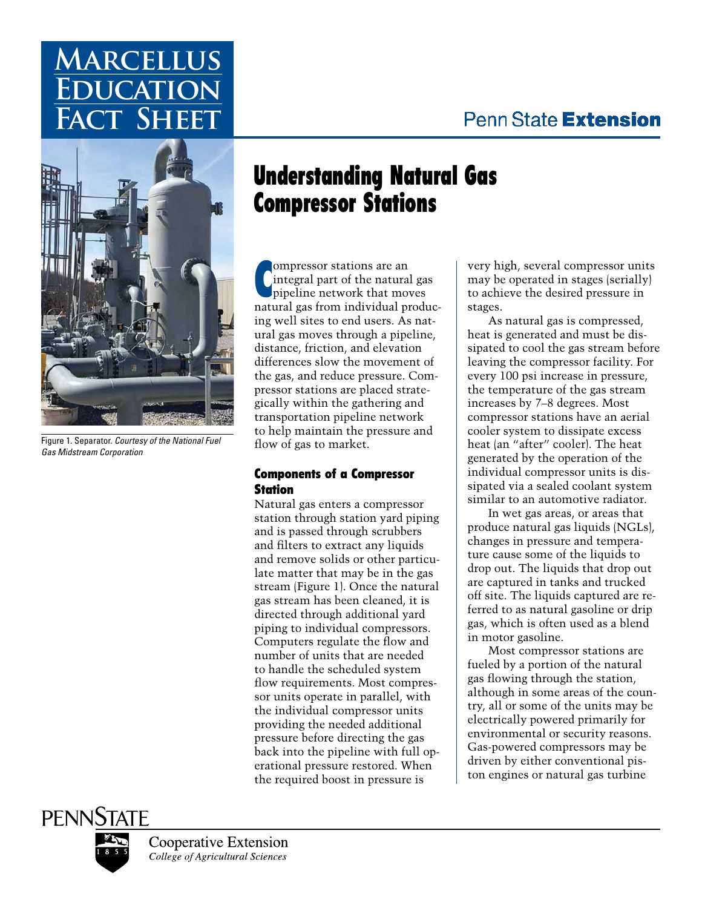## Penn State Extension

# **Marcellus EUCATION Fact Sheet**



Figure 1. Separator. *Courtesy of the National Fuel Gas Midstream Corporation*

## Understanding Natural Gas Compressor Stations

C ompressor stations are an integral part of the natural gas pipeline network that moves natural gas from individual producing well sites to end users. As natural gas moves through a pipeline, distance, friction, and elevation differences slow the movement of the gas, and reduce pressure. Compressor stations are placed strategically within the gathering and transportation pipeline network to help maintain the pressure and flow of gas to market.

## Components of a Compressor **Station**

Natural gas enters a compressor station through station yard piping and is passed through scrubbers and filters to extract any liquids and remove solids or other particulate matter that may be in the gas stream (Figure 1). Once the natural gas stream has been cleaned, it is directed through additional yard piping to individual compressors. Computers regulate the flow and number of units that are needed to handle the scheduled system flow requirements. Most compressor units operate in parallel, with the individual compressor units providing the needed additional pressure before directing the gas back into the pipeline with full operational pressure restored. When the required boost in pressure is

very high, several compressor units may be operated in stages (serially) to achieve the desired pressure in stages.

As natural gas is compressed, heat is generated and must be dissipated to cool the gas stream before leaving the compressor facility. For every 100 psi increase in pressure, the temperature of the gas stream increases by 7–8 degrees. Most compressor stations have an aerial cooler system to dissipate excess heat (an "after" cooler). The heat generated by the operation of the individual compressor units is dissipated via a sealed coolant system similar to an automotive radiator.

In wet gas areas, or areas that produce natural gas liquids (NGLs), changes in pressure and temperature cause some of the liquids to drop out. The liquids that drop out are captured in tanks and trucked off site. The liquids captured are referred to as natural gasoline or drip gas, which is often used as a blend in motor gasoline.

Most compressor stations are fueled by a portion of the natural gas flowing through the station, although in some areas of the country, all or some of the units may be electrically powered primarily for environmental or security reasons. Gas-powered compressors may be driven by either conventional piston engines or natural gas turbine

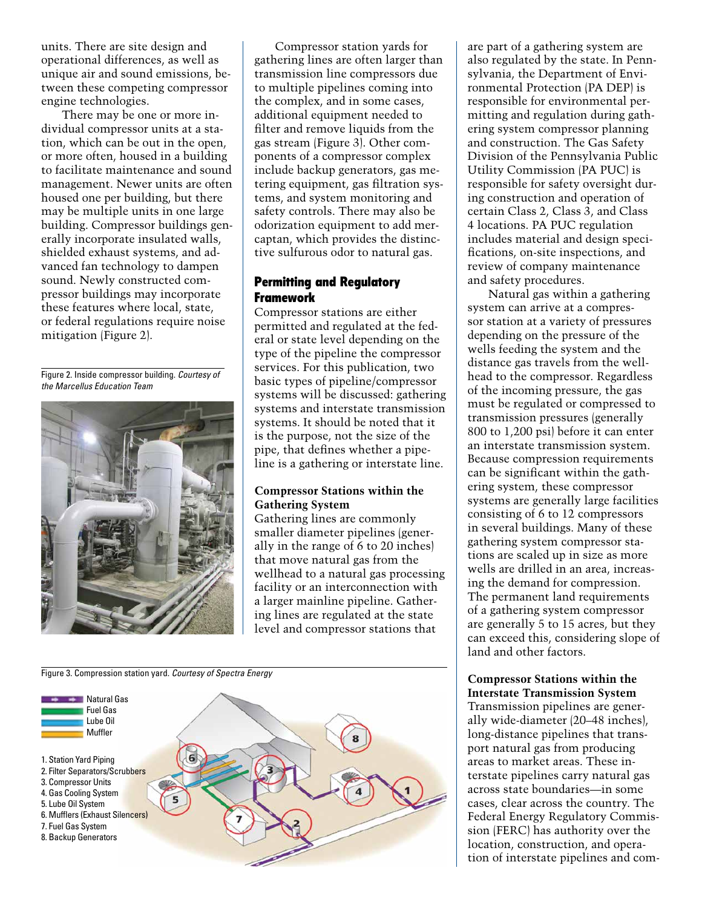units. There are site design and operational differences, as well as unique air and sound emissions, between these competing compressor engine technologies.

There may be one or more individual compressor units at a station, which can be out in the open, or more often, housed in a building to facilitate maintenance and sound management. Newer units are often housed one per building, but there may be multiple units in one large building. Compressor buildings generally incorporate insulated walls, shielded exhaust systems, and advanced fan technology to dampen sound. Newly constructed compressor buildings may incorporate these features where local, state, or federal regulations require noise mitigation (Figure 2).

Figure 2. Inside compressor building. *Courtesy of the Marcellus Education Team*



Compressor station yards for gathering lines are often larger than transmission line compressors due to multiple pipelines coming into the complex, and in some cases, additional equipment needed to filter and remove liquids from the gas stream (Figure 3). Other components of a compressor complex include backup generators, gas metering equipment, gas filtration systems, and system monitoring and safety controls. There may also be odorization equipment to add mercaptan, which provides the distinctive sulfurous odor to natural gas.

## Permitting and Regulatory Framework

Compressor stations are either permitted and regulated at the federal or state level depending on the type of the pipeline the compressor services. For this publication, two basic types of pipeline/compressor systems will be discussed: gathering systems and interstate transmission systems. It should be noted that it is the purpose, not the size of the pipe, that defines whether a pipeline is a gathering or interstate line.

## **Compressor Stations within the Gathering System**

Gathering lines are commonly smaller diameter pipelines (generally in the range of 6 to 20 inches) that move natural gas from the wellhead to a natural gas processing facility or an interconnection with a larger mainline pipeline. Gathering lines are regulated at the state level and compressor stations that



are part of a gathering system are also regulated by the state. In Pennsylvania, the Department of Environmental Protection (PA DEP) is responsible for environmental permitting and regulation during gathering system compressor planning and construction. The Gas Safety Division of the Pennsylvania Public Utility Commission (PA PUC) is responsible for safety oversight during construction and operation of certain Class 2, Class 3, and Class 4 locations. PA PUC regulation includes material and design specifications, on-site inspections, and review of company maintenance and safety procedures.

Natural gas within a gathering system can arrive at a compressor station at a variety of pressures depending on the pressure of the wells feeding the system and the distance gas travels from the wellhead to the compressor. Regardless of the incoming pressure, the gas must be regulated or compressed to transmission pressures (generally 800 to 1,200 psi) before it can enter an interstate transmission system. Because compression requirements can be significant within the gathering system, these compressor systems are generally large facilities consisting of 6 to 12 compressors in several buildings. Many of these gathering system compressor stations are scaled up in size as more wells are drilled in an area, increasing the demand for compression. The permanent land requirements of a gathering system compressor are generally 5 to 15 acres, but they can exceed this, considering slope of land and other factors.

## **Compressor Stations within the Interstate Transmission System**

Transmission pipelines are generally wide-diameter (20–48 inches), long-distance pipelines that transport natural gas from producing areas to market areas. These interstate pipelines carry natural gas across state boundaries—in some cases, clear across the country. The Federal Energy Regulatory Commission (FERC) has authority over the location, construction, and operation of interstate pipelines and com-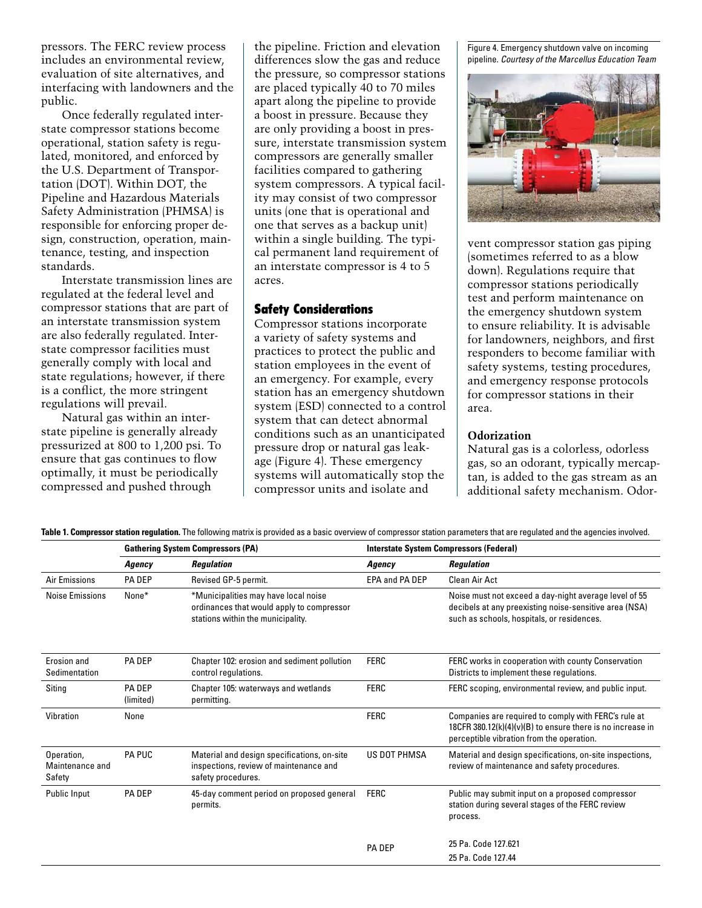pressors. The FERC review process includes an environmental review, evaluation of site alternatives, and interfacing with landowners and the public.

Once federally regulated interstate compressor stations become operational, station safety is regulated, monitored, and enforced by the U.S. Department of Transportation (DOT). Within DOT, the Pipeline and Hazardous Materials Safety Administration (PHMSA) is responsible for enforcing proper design, construction, operation, maintenance, testing, and inspection standards.

Interstate transmission lines are regulated at the federal level and compressor stations that are part of an interstate transmission system are also federally regulated. Interstate compressor facilities must generally comply with local and state regulations; however, if there is a conflict, the more stringent regulations will prevail.

Natural gas within an interstate pipeline is generally already pressurized at 800 to 1,200 psi. To ensure that gas continues to flow optimally, it must be periodically compressed and pushed through

the pipeline. Friction and elevation differences slow the gas and reduce the pressure, so compressor stations are placed typically 40 to 70 miles apart along the pipeline to provide a boost in pressure. Because they are only providing a boost in pressure, interstate transmission system compressors are generally smaller facilities compared to gathering system compressors. A typical facility may consist of two compressor units (one that is operational and one that serves as a backup unit) within a single building. The typical permanent land requirement of an interstate compressor is 4 to 5 acres.

#### Safety Considerations

Compressor stations incorporate a variety of safety systems and practices to protect the public and station employees in the event of an emergency. For example, every station has an emergency shutdown system (ESD) connected to a control system that can detect abnormal conditions such as an unanticipated pressure drop or natural gas leakage (Figure 4). These emergency systems will automatically stop the compressor units and isolate and

Figure 4. Emergency shutdown valve on incoming pipeline. *Courtesy of the Marcellus Education Team*



vent compressor station gas piping (sometimes referred to as a blow down). Regulations require that compressor stations periodically test and perform maintenance on the emergency shutdown system to ensure reliability. It is advisable for landowners, neighbors, and first responders to become familiar with safety systems, testing procedures, and emergency response protocols for compressor stations in their area.

#### **Odorization**

Natural gas is a colorless, odorless gas, so an odorant, typically mercaptan, is added to the gas stream as an additional safety mechanism. Odor-

|  |  |  | Table 1. Compressor station regulation. The following matrix is provided as a basic overview of compressor station parameters that are regulated and the agencies involved. |
|--|--|--|-----------------------------------------------------------------------------------------------------------------------------------------------------------------------------|
|--|--|--|-----------------------------------------------------------------------------------------------------------------------------------------------------------------------------|

|                                         | <b>Gathering System Compressors (PA)</b> |                                                                                                                        | <b>Interstate System Compressors (Federal)</b> |                                                                                                                                                                         |
|-----------------------------------------|------------------------------------------|------------------------------------------------------------------------------------------------------------------------|------------------------------------------------|-------------------------------------------------------------------------------------------------------------------------------------------------------------------------|
|                                         | Agency                                   | <b>Regulation</b>                                                                                                      | Agency                                         | <b>Regulation</b>                                                                                                                                                       |
| Air Emissions                           | <b>PA DEP</b>                            | Revised GP-5 permit.                                                                                                   | EPA and PA DEP                                 | <b>Clean Air Act</b>                                                                                                                                                    |
| Noise Emissions                         | None*                                    | *Municipalities may have local noise<br>ordinances that would apply to compressor<br>stations within the municipality. |                                                | Noise must not exceed a day-night average level of 55<br>decibels at any preexisting noise-sensitive area (NSA)<br>such as schools, hospitals, or residences.           |
| Erosion and<br>Sedimentation            | <b>PA DEP</b>                            | Chapter 102: erosion and sediment pollution<br>control regulations.                                                    | <b>FERC</b>                                    | FERC works in cooperation with county Conservation<br>Districts to implement these regulations.                                                                         |
| Siting                                  | <b>PA DEP</b><br>(limited)               | Chapter 105: waterways and wetlands<br>permitting.                                                                     | <b>FERC</b>                                    | FERC scoping, environmental review, and public input.                                                                                                                   |
| Vibration                               | None                                     |                                                                                                                        | <b>FERC</b>                                    | Companies are required to comply with FERC's rule at<br>18CFR 380.12( $k$ )(4)( $v$ )(B) to ensure there is no increase in<br>perceptible vibration from the operation. |
| Operation,<br>Maintenance and<br>Safety | <b>PA PUC</b>                            | Material and design specifications, on-site<br>inspections, review of maintenance and<br>safety procedures.            | <b>US DOT PHMSA</b>                            | Material and design specifications, on-site inspections,<br>review of maintenance and safety procedures.                                                                |
| Public Input                            | <b>PA DEP</b>                            | 45-day comment period on proposed general<br>permits.                                                                  | <b>FERC</b>                                    | Public may submit input on a proposed compressor<br>station during several stages of the FERC review<br>process.                                                        |
|                                         |                                          |                                                                                                                        | <b>PA DEP</b>                                  | 25 Pa. Code 127.621                                                                                                                                                     |
|                                         |                                          |                                                                                                                        |                                                | 25 Pa. Code 127.44                                                                                                                                                      |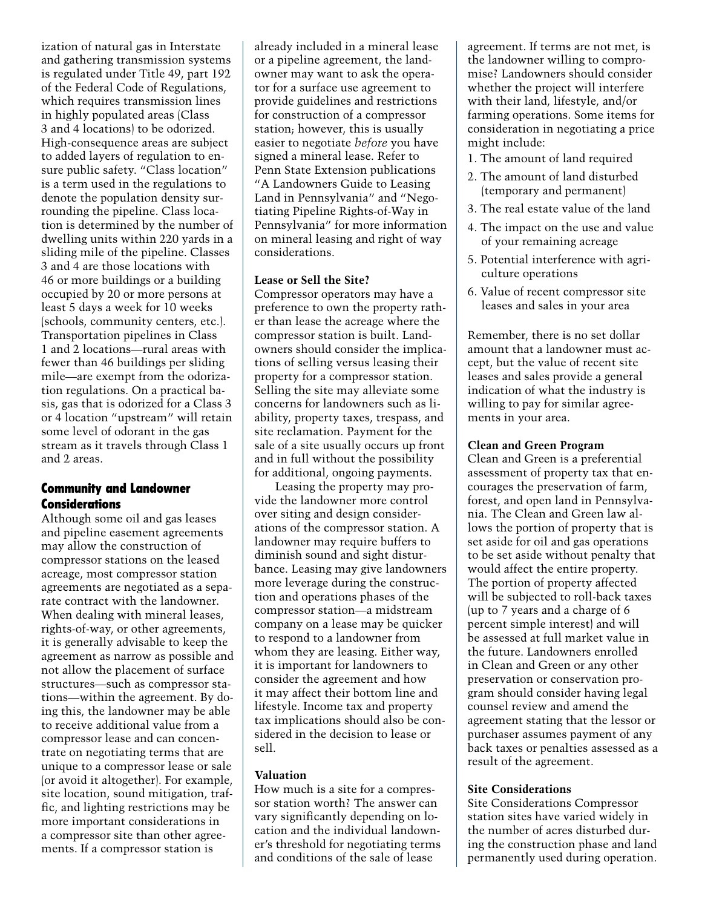ization of natural gas in Interstate and gathering transmission systems is regulated under Title 49, part 192 of the Federal Code of Regulations, which requires transmission lines in highly populated areas (Class 3 and 4 locations) to be odorized. High-consequence areas are subject to added layers of regulation to ensure public safety. "Class location" is a term used in the regulations to denote the population density surrounding the pipeline. Class location is determined by the number of dwelling units within 220 yards in a sliding mile of the pipeline. Classes 3 and 4 are those locations with 46 or more buildings or a building occupied by 20 or more persons at least 5 days a week for 10 weeks (schools, community centers, etc.). Transportation pipelines in Class 1 and 2 locations—rural areas with fewer than 46 buildings per sliding mile—are exempt from the odorization regulations. On a practical basis, gas that is odorized for a Class 3 or 4 location "upstream" will retain some level of odorant in the gas stream as it travels through Class 1 and 2 areas.

## Community and Landowner **Considerations**

Although some oil and gas leases and pipeline easement agreements may allow the construction of compressor stations on the leased acreage, most compressor station agreements are negotiated as a separate contract with the landowner. When dealing with mineral leases, rights-of-way, or other agreements, it is generally advisable to keep the agreement as narrow as possible and not allow the placement of surface structures—such as compressor stations—within the agreement. By doing this, the landowner may be able to receive additional value from a compressor lease and can concentrate on negotiating terms that are unique to a compressor lease or sale (or avoid it altogether). For example, site location, sound mitigation, traffic, and lighting restrictions may be more important considerations in a compressor site than other agreements. If a compressor station is

already included in a mineral lease or a pipeline agreement, the landowner may want to ask the operator for a surface use agreement to provide guidelines and restrictions for construction of a compressor station; however, this is usually easier to negotiate *before* you have signed a mineral lease. Refer to Penn State Extension publications "A Landowners Guide to Leasing Land in Pennsylvania" and "Negotiating Pipeline Rights-of-Way in Pennsylvania" for more information on mineral leasing and right of way considerations.

## **Lease or Sell the Site?**

Compressor operators may have a preference to own the property rather than lease the acreage where the compressor station is built. Landowners should consider the implications of selling versus leasing their property for a compressor station. Selling the site may alleviate some concerns for landowners such as liability, property taxes, trespass, and site reclamation. Payment for the sale of a site usually occurs up front and in full without the possibility for additional, ongoing payments.

Leasing the property may provide the landowner more control over siting and design considerations of the compressor station. A landowner may require buffers to diminish sound and sight disturbance. Leasing may give landowners more leverage during the construction and operations phases of the compressor station—a midstream company on a lease may be quicker to respond to a landowner from whom they are leasing. Either way, it is important for landowners to consider the agreement and how it may affect their bottom line and lifestyle. Income tax and property tax implications should also be considered in the decision to lease or sell.

## **Valuation**

How much is a site for a compressor station worth? The answer can vary significantly depending on location and the individual landowner's threshold for negotiating terms and conditions of the sale of lease

agreement. If terms are not met, is the landowner willing to compromise? Landowners should consider whether the project will interfere with their land, lifestyle, and/or farming operations. Some items for consideration in negotiating a price might include:

- 1. The amount of land required
- 2. The amount of land disturbed (temporary and permanent)
- 3. The real estate value of the land
- 4. The impact on the use and value of your remaining acreage
- 5. Potential interference with agriculture operations
- 6. Value of recent compressor site leases and sales in your area

Remember, there is no set dollar amount that a landowner must accept, but the value of recent site leases and sales provide a general indication of what the industry is willing to pay for similar agreements in your area.

#### **Clean and Green Program**

Clean and Green is a preferential assessment of property tax that encourages the preservation of farm, forest, and open land in Pennsylvania. The Clean and Green law allows the portion of property that is set aside for oil and gas operations to be set aside without penalty that would affect the entire property. The portion of property affected will be subjected to roll-back taxes (up to 7 years and a charge of 6 percent simple interest) and will be assessed at full market value in the future. Landowners enrolled in Clean and Green or any other preservation or conservation program should consider having legal counsel review and amend the agreement stating that the lessor or purchaser assumes payment of any back taxes or penalties assessed as a result of the agreement.

## **Site Considerations**

Site Considerations Compressor station sites have varied widely in the number of acres disturbed during the construction phase and land permanently used during operation.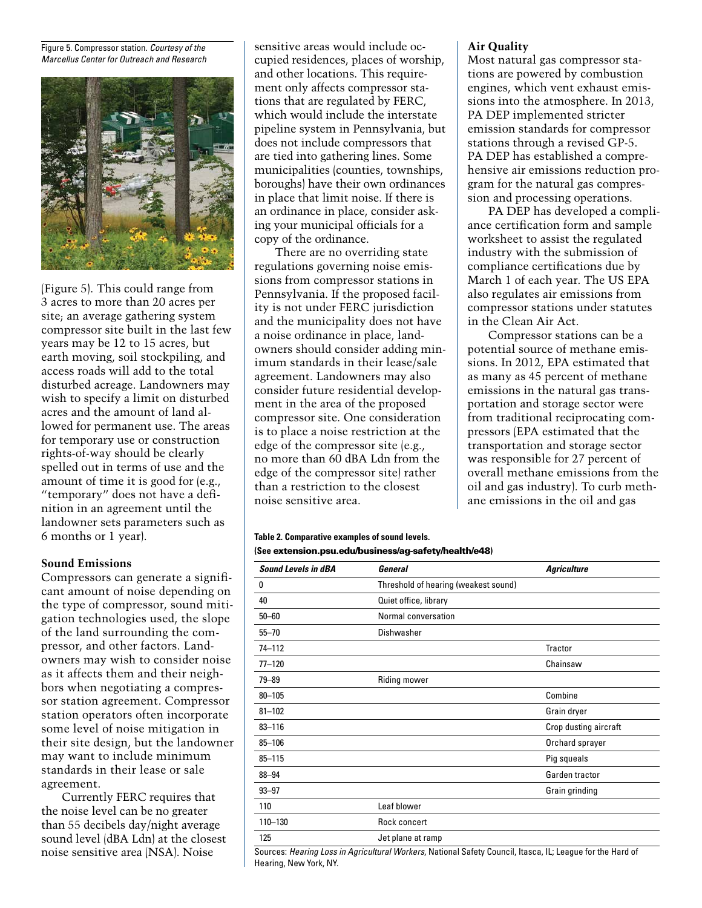Figure 5. Compressor station. *Courtesy of the Marcellus Center for Outreach and Research*



(Figure 5). This could range from 3 acres to more than 20 acres per site; an average gathering system compressor site built in the last few years may be 12 to 15 acres, but earth moving, soil stockpiling, and access roads will add to the total disturbed acreage. Landowners may wish to specify a limit on disturbed acres and the amount of land allowed for permanent use. The areas for temporary use or construction rights-of-way should be clearly spelled out in terms of use and the amount of time it is good for (e.g., "temporary" does not have a definition in an agreement until the landowner sets parameters such as 6 months or 1 year).

#### **Sound Emissions**

Compressors can generate a significant amount of noise depending on the type of compressor, sound mitigation technologies used, the slope of the land surrounding the compressor, and other factors. Landowners may wish to consider noise as it affects them and their neighbors when negotiating a compressor station agreement. Compressor station operators often incorporate some level of noise mitigation in their site design, but the landowner may want to include minimum standards in their lease or sale agreement.

Currently FERC requires that the noise level can be no greater than 55 decibels day/night average sound level (dBA Ldn) at the closest noise sensitive area (NSA). Noise

sensitive areas would include occupied residences, places of worship, and other locations. This requirement only affects compressor stations that are regulated by FERC, which would include the interstate pipeline system in Pennsylvania, but does not include compressors that are tied into gathering lines. Some municipalities (counties, townships, boroughs) have their own ordinances in place that limit noise. If there is an ordinance in place, consider asking your municipal officials for a copy of the ordinance.

There are no overriding state regulations governing noise emissions from compressor stations in Pennsylvania. If the proposed facility is not under FERC jurisdiction and the municipality does not have a noise ordinance in place, landowners should consider adding minimum standards in their lease/sale agreement. Landowners may also consider future residential development in the area of the proposed compressor site. One consideration is to place a noise restriction at the edge of the compressor site (e.g., no more than 60 dBA Ldn from the edge of the compressor site) rather than a restriction to the closest noise sensitive area.

#### **Table 2. Comparative examples of sound levels. (See** extension.psu.edu/business/ag-safety/health/e48**)**

| <b>Sound Levels in dBA</b> | General                              | <b>Agriculture</b>    |
|----------------------------|--------------------------------------|-----------------------|
| 0                          | Threshold of hearing (weakest sound) |                       |
| 40                         | Quiet office, library                |                       |
| $50 - 60$                  | Normal conversation                  |                       |
| $55 - 70$                  | Dishwasher                           |                       |
| 74-112                     |                                      | Tractor               |
| $77 - 120$                 |                                      | Chainsaw              |
| $79 - 89$                  | Riding mower                         |                       |
| $80 - 105$                 |                                      | Combine               |
| $81 - 102$                 |                                      | Grain dryer           |
| $83 - 116$                 |                                      | Crop dusting aircraft |
| $85 - 106$                 |                                      | Orchard sprayer       |
| $85 - 115$                 |                                      | Pig squeals           |
| $88 - 94$                  |                                      | Garden tractor        |
| $93 - 97$                  |                                      | Grain grinding        |
| 110                        | Leaf blower                          |                       |
| 110-130                    | Rock concert                         |                       |
| 125                        | Jet plane at ramp                    |                       |

Sources: *Hearing Loss in Agricultural Workers*, National Safety Council, Itasca, IL; League for the Hard of Hearing, New York, NY.

#### **Air Quality**

Most natural gas compressor stations are powered by combustion engines, which vent exhaust emissions into the atmosphere. In 2013, PA DEP implemented stricter emission standards for compressor stations through a revised GP-5. PA DEP has established a comprehensive air emissions reduction program for the natural gas compression and processing operations.

PA DEP has developed a compliance certification form and sample worksheet to assist the regulated industry with the submission of compliance certifications due by March 1 of each year. The US EPA also regulates air emissions from compressor stations under statutes in the Clean Air Act.

Compressor stations can be a potential source of methane emissions. In 2012, EPA estimated that as many as 45 percent of methane emissions in the natural gas transportation and storage sector were from traditional reciprocating compressors (EPA estimated that the transportation and storage sector was responsible for 27 percent of overall methane emissions from the oil and gas industry). To curb methane emissions in the oil and gas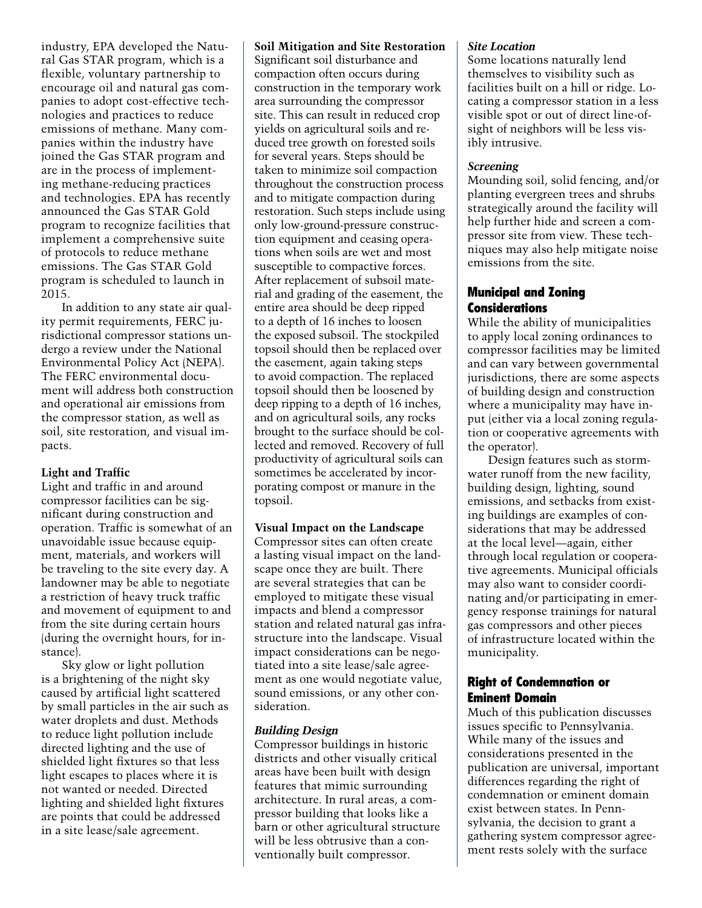industry, EPA developed the Natural Gas STAR program, which is a flexible, voluntary partnership to encourage oil and natural gas companies to adopt cost-effective technologies and practices to reduce emissions of methane. Many companies within the industry have joined the Gas STAR program and are in the process of implementing methane-reducing practices and technologies. EPA has recently announced the Gas STAR Gold program to recognize facilities that implement a comprehensive suite of protocols to reduce methane emissions. The Gas STAR Gold program is scheduled to launch in 2015.

In addition to any state air quality permit requirements, FERC jurisdictional compressor stations undergo a review under the National Environmental Policy Act (NEPA). The FERC environmental document will address both construction and operational air emissions from the compressor station, as well as soil, site restoration, and visual impacts.

## **Light and Traffic**

Light and traffic in and around compressor facilities can be significant during construction and operation. Traffic is somewhat of an unavoidable issue because equipment, materials, and workers will be traveling to the site every day. A landowner may be able to negotiate a restriction of heavy truck traffic and movement of equipment to and from the site during certain hours (during the overnight hours, for instance).

Sky glow or light pollution is a brightening of the night sky caused by artificial light scattered by small particles in the air such as water droplets and dust. Methods to reduce light pollution include directed lighting and the use of shielded light fixtures so that less light escapes to places where it is not wanted or needed. Directed lighting and shielded light fixtures are points that could be addressed in a site lease/sale agreement.

## **Soil Mitigation and Site Restoration**

Significant soil disturbance and compaction often occurs during construction in the temporary work area surrounding the compressor site. This can result in reduced crop yields on agricultural soils and reduced tree growth on forested soils for several years. Steps should be taken to minimize soil compaction throughout the construction process and to mitigate compaction during restoration. Such steps include using only low-ground-pressure construction equipment and ceasing operations when soils are wet and most susceptible to compactive forces. After replacement of subsoil material and grading of the easement, the entire area should be deep ripped to a depth of 16 inches to loosen the exposed subsoil. The stockpiled topsoil should then be replaced over the easement, again taking steps to avoid compaction. The replaced topsoil should then be loosened by deep ripping to a depth of 16 inches, and on agricultural soils, any rocks brought to the surface should be collected and removed. Recovery of full productivity of agricultural soils can sometimes be accelerated by incorporating compost or manure in the topsoil.

#### **Visual Impact on the Landscape**

Compressor sites can often create a lasting visual impact on the landscape once they are built. There are several strategies that can be employed to mitigate these visual impacts and blend a compressor station and related natural gas infrastructure into the landscape. Visual impact considerations can be negotiated into a site lease/sale agreement as one would negotiate value, sound emissions, or any other consideration.

#### *Building Design*

Compressor buildings in historic districts and other visually critical areas have been built with design features that mimic surrounding architecture. In rural areas, a compressor building that looks like a barn or other agricultural structure will be less obtrusive than a conventionally built compressor.

#### *Site Location*

Some locations naturally lend themselves to visibility such as facilities built on a hill or ridge. Locating a compressor station in a less visible spot or out of direct line-ofsight of neighbors will be less visibly intrusive.

#### *Screening*

Mounding soil, solid fencing, and/or planting evergreen trees and shrubs strategically around the facility will help further hide and screen a compressor site from view. These techniques may also help mitigate noise emissions from the site.

## Municipal and Zoning **Considerations**

While the ability of municipalities to apply local zoning ordinances to compressor facilities may be limited and can vary between governmental jurisdictions, there are some aspects of building design and construction where a municipality may have input (either via a local zoning regulation or cooperative agreements with the operator).

Design features such as stormwater runoff from the new facility, building design, lighting, sound emissions, and setbacks from existing buildings are examples of considerations that may be addressed at the local level—again, either through local regulation or cooperative agreements. Municipal officials may also want to consider coordinating and/or participating in emergency response trainings for natural gas compressors and other pieces of infrastructure located within the municipality.

## Right of Condemnation or Eminent Domain

Much of this publication discusses issues specific to Pennsylvania. While many of the issues and considerations presented in the publication are universal, important differences regarding the right of condemnation or eminent domain exist between states. In Pennsylvania, the decision to grant a gathering system compressor agreement rests solely with the surface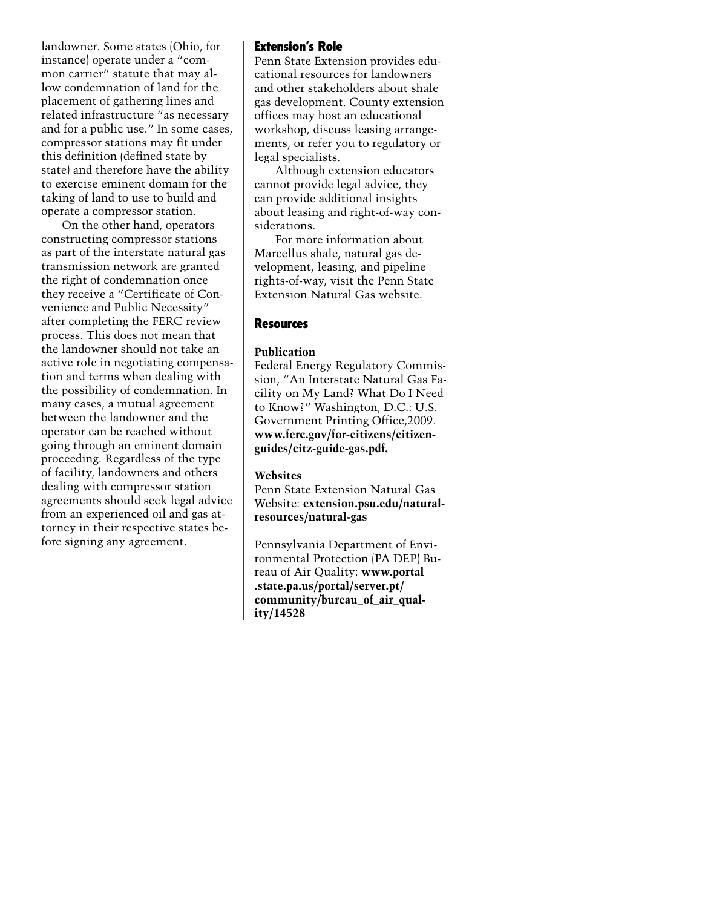landowner. Some states (Ohio, for instance) operate under a "common carrier" statute that may allow condemnation of land for the placement of gathering lines and related infrastructure "as necessary and for a public use." In some cases, compressor stations may fit under this definition (defined state by state) and therefore have the ability to exercise eminent domain for the taking of land to use to build and operate a compressor station.

On the other hand, operators constructing compressor stations as part of the interstate natural gas transmission network are granted the right of condemnation once they receive a "Certificate of Convenience and Public Necessity" after completing the FERC review process. This does not mean that the landowner should not take an active role in negotiating compensation and terms when dealing with the possibility of condemnation. In many cases, a mutual agreement between the landowner and the operator can be reached without going through an eminent domain proceeding. Regardless of the type of facility, landowners and others dealing with compressor station agreements should seek legal advice from an experienced oil and gas attorney in their respective states before signing any agreement.

## Extension's Role

Penn State Extension provides educational resources for landowners and other stakeholders about shale gas development. County extension offices may host an educational workshop, discuss leasing arrangements, or refer you to regulatory or legal specialists.

Although extension educators cannot provide legal advice, they can provide additional insights about leasing and right-of-way considerations.

For more information about Marcellus shale, natural gas development, leasing, and pipeline rights-of-way, visit the Penn State Extension Natural Gas website.

#### **Resources**

#### **Publication**

Federal Energy Regulatory Commission, "An Interstate Natural Gas Facility on My Land? What Do I Need to Know?" Washington, D.C.: U.S. Government Printing Office,2009. **www.ferc.gov/for-citizens/citizenguides/citz-guide-gas.pdf.**

#### **Websites**

Penn State Extension Natural Gas Website: **extension.psu.edu/naturalresources/natural-gas**

Pennsylvania Department of Environmental Protection (PA DEP) Bureau of Air Quality: **www.portal .state.pa.us/portal/server.pt/ community/bureau\_of\_air\_quality/14528**